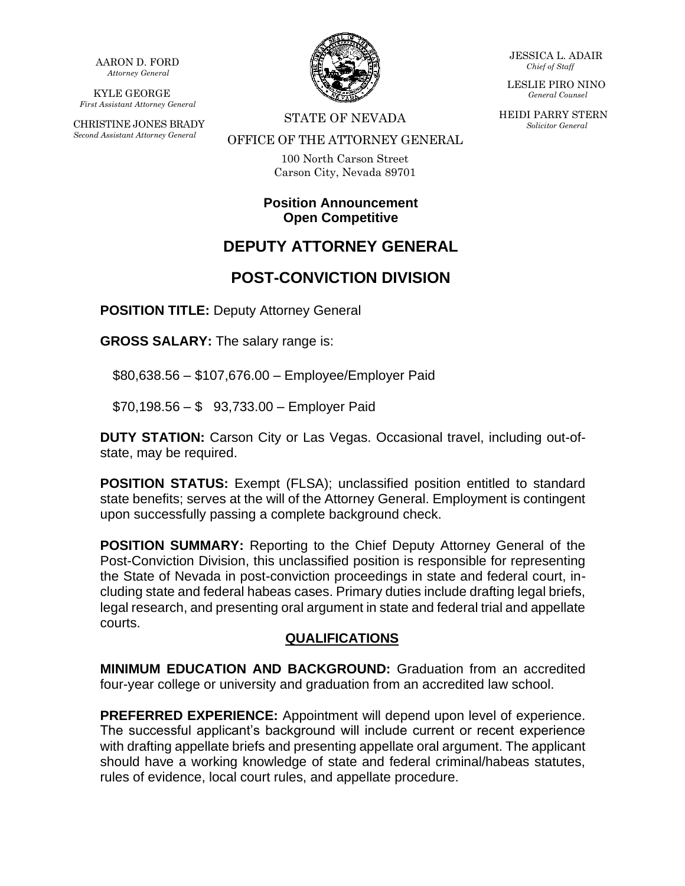AARON D. FORD *Attorney General*

KYLE GEORGE *First Assistant Attorney General*

CHRISTINE JONES BRADY *Second Assistant Attorney General*



STATE OF NEVADA

JESSICA L. ADAIR *Chief of Staff*

LESLIE PIRO NINO *General Counsel*

HEIDI PARRY STERN *Solicitor General*

#### OFFICE OF THE ATTORNEY GENERAL

100 North Carson Street Carson City, Nevada 89701

### **Position Announcement Open Competitive**

# **DEPUTY ATTORNEY GENERAL**

## **POST-CONVICTION DIVISION**

**POSITION TITLE:** Deputy Attorney General

**GROSS SALARY:** The salary range is:

\$80,638.56 – \$107,676.00 – Employee/Employer Paid

\$70,198.56 – \$ 93,733.00 – Employer Paid

**DUTY STATION:** Carson City or Las Vegas. Occasional travel, including out-ofstate, may be required.

**POSITION STATUS:** Exempt (FLSA); unclassified position entitled to standard state benefits; serves at the will of the Attorney General. Employment is contingent upon successfully passing a complete background check.

**POSITION SUMMARY:** Reporting to the Chief Deputy Attorney General of the Post-Conviction Division, this unclassified position is responsible for representing the State of Nevada in post-conviction proceedings in state and federal court, including state and federal habeas cases. Primary duties include drafting legal briefs, legal research, and presenting oral argument in state and federal trial and appellate courts.

### **QUALIFICATIONS**

**MINIMUM EDUCATION AND BACKGROUND:** Graduation from an accredited four-year college or university and graduation from an accredited law school.

**PREFERRED EXPERIENCE:** Appointment will depend upon level of experience. The successful applicant's background will include current or recent experience with drafting appellate briefs and presenting appellate oral argument. The applicant should have a working knowledge of state and federal criminal/habeas statutes, rules of evidence, local court rules, and appellate procedure.